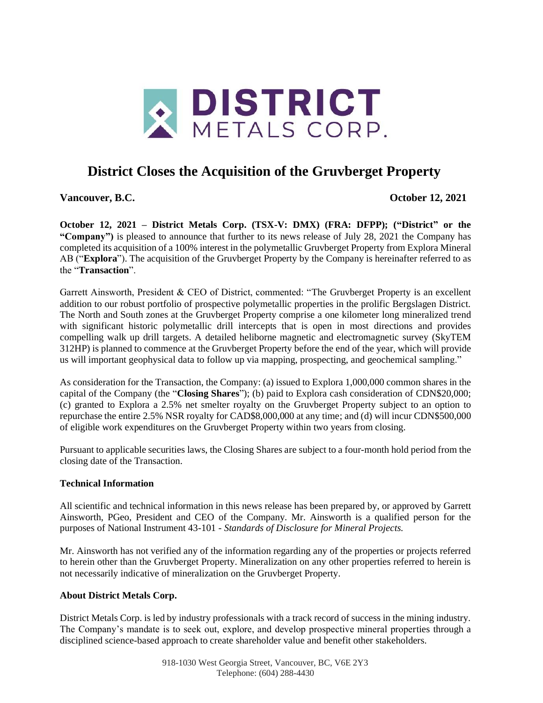

# **District Closes the Acquisition of the Gruvberget Property**

**Vancouver, B.C. October 12, 2021**

**October 12, 2021 – District Metals Corp. (TSX-V: DMX) (FRA: DFPP); ("District" or the "Company")** is pleased to announce that further to its news release of July 28, 2021 the Company has completed its acquisition of a 100% interest in the polymetallic Gruvberget Property from Explora Mineral AB ("**Explora**"). The acquisition of the Gruvberget Property by the Company is hereinafter referred to as the "**Transaction**".

Garrett Ainsworth, President & CEO of District, commented: "The Gruvberget Property is an excellent addition to our robust portfolio of prospective polymetallic properties in the prolific Bergslagen District. The North and South zones at the Gruvberget Property comprise a one kilometer long mineralized trend with significant historic polymetallic drill intercepts that is open in most directions and provides compelling walk up drill targets. A detailed heliborne magnetic and electromagnetic survey (SkyTEM 312HP) is planned to commence at the Gruvberget Property before the end of the year, which will provide us will important geophysical data to follow up via mapping, prospecting, and geochemical sampling."

As consideration for the Transaction, the Company: (a) issued to Explora 1,000,000 common shares in the capital of the Company (the "**Closing Shares**"); (b) paid to Explora cash consideration of CDN\$20,000; (c) granted to Explora a 2.5% net smelter royalty on the Gruvberget Property subject to an option to repurchase the entire 2.5% NSR royalty for CAD\$8,000,000 at any time; and (d) will incur CDN\$500,000 of eligible work expenditures on the Gruvberget Property within two years from closing.

Pursuant to applicable securities laws, the Closing Shares are subject to a four-month hold period from the closing date of the Transaction.

### **Technical Information**

All scientific and technical information in this news release has been prepared by, or approved by Garrett Ainsworth, PGeo, President and CEO of the Company. Mr. Ainsworth is a qualified person for the purposes of National Instrument 43-101 - *Standards of Disclosure for Mineral Projects.*

Mr. Ainsworth has not verified any of the information regarding any of the properties or projects referred to herein other than the Gruvberget Property. Mineralization on any other properties referred to herein is not necessarily indicative of mineralization on the Gruvberget Property.

### **About District Metals Corp.**

District Metals Corp. is led by industry professionals with a track record of success in the mining industry. The Company's mandate is to seek out, explore, and develop prospective mineral properties through a disciplined science-based approach to create shareholder value and benefit other stakeholders.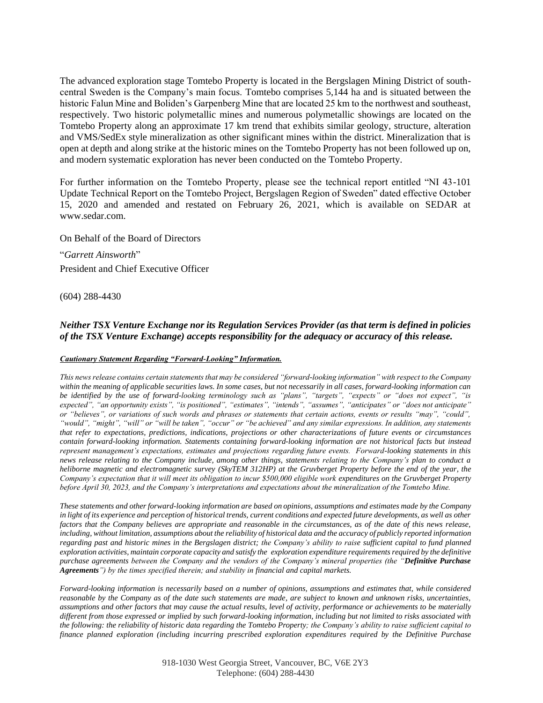The advanced exploration stage Tomtebo Property is located in the Bergslagen Mining District of southcentral Sweden is the Company's main focus. Tomtebo comprises 5,144 ha and is situated between the historic Falun Mine and Boliden's Garpenberg Mine that are located 25 km to the northwest and southeast, respectively. Two historic polymetallic mines and numerous polymetallic showings are located on the Tomtebo Property along an approximate 17 km trend that exhibits similar geology, structure, alteration and VMS/SedEx style mineralization as other significant mines within the district. Mineralization that is open at depth and along strike at the historic mines on the Tomtebo Property has not been followed up on, and modern systematic exploration has never been conducted on the Tomtebo Property.

For further information on the Tomtebo Property, please see the technical report entitled "NI 43-101 Update Technical Report on the Tomtebo Project, Bergslagen Region of Sweden" dated effective October 15, 2020 and amended and restated on February 26, 2021, which is available on SEDAR at www.sedar.com.

On Behalf of the Board of Directors

"*Garrett Ainsworth*" President and Chief Executive Officer

(604) 288-4430

## *Neither TSX Venture Exchange nor its Regulation Services Provider (as that term is defined in policies of the TSX Venture Exchange) accepts responsibility for the adequacy or accuracy of this release.*

#### *Cautionary Statement Regarding "Forward-Looking" Information.*

*This news release contains certain statements that may be considered "forward-looking information" with respect to the Company within the meaning of applicable securities laws. In some cases, but not necessarily in all cases, forward-looking information can be identified by the use of forward-looking terminology such as "plans", "targets", "expects" or "does not expect", "is expected", "an opportunity exists", "is positioned", "estimates", "intends", "assumes", "anticipates" or "does not anticipate" or "believes", or variations of such words and phrases or statements that certain actions, events or results "may", "could", "would", "might", "will" or "will be taken", "occur" or "be achieved" and any similar expressions. In addition, any statements that refer to expectations, predictions, indications, projections or other characterizations of future events or circumstances contain forward-looking information. Statements containing forward-looking information are not historical facts but instead represent management's expectations, estimates and projections regarding future events. Forward-looking statements in this news release relating to the Company include, among other things, statements relating to the Company's plan to conduct a heliborne magnetic and electromagnetic survey (SkyTEM 312HP) at the Gruvberget Property before the end of the year, the Company's expectation that it will meet its obligation to incur \$500,000 eligible work expenditures on the Gruvberget Property before April 30, 2023, and the Company's interpretations and expectations about the mineralization of the Tomtebo Mine.*

*These statements and other forward-looking information are based on opinions, assumptions and estimates made by the Company*  in light of its experience and perception of historical trends, current conditions and expected future developments, as well as other factors that the Company believes are appropriate and reasonable in the circumstances, as of the date of this news release, *including, without limitation, assumptions about the reliability of historical data and the accuracy of publicly reported information regarding past and historic mines in the Bergslagen district; the Company's ability to raise sufficient capital to fund planned exploration activities, maintain corporate capacity and satisfy the exploration expenditure requirements required by the definitive purchase agreements between the Company and the vendors of the Company's mineral properties (the "Definitive Purchase Agreements") by the times specified therein; and stability in financial and capital markets.*

*Forward-looking information is necessarily based on a number of opinions, assumptions and estimates that, while considered reasonable by the Company as of the date such statements are made, are subject to known and unknown risks, uncertainties, assumptions and other factors that may cause the actual results, level of activity, performance or achievements to be materially different from those expressed or implied by such forward-looking information, including but not limited to risks associated with the following: the reliability of historic data regarding the Tomtebo Property; the Company's ability to raise sufficient capital to finance planned exploration (including incurring prescribed exploration expenditures required by the Definitive Purchase*